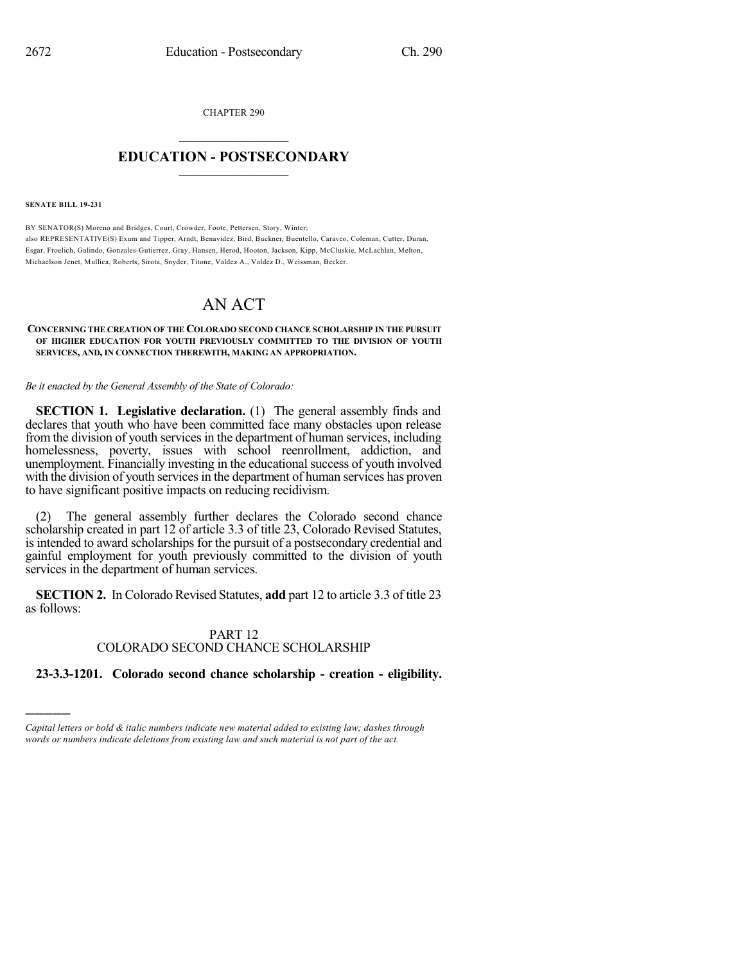CHAPTER 290

## $\overline{\phantom{a}}$  . The set of the set of the set of the set of the set of the set of the set of the set of the set of the set of the set of the set of the set of the set of the set of the set of the set of the set of the set o **EDUCATION - POSTSECONDARY**  $\_$   $\_$   $\_$   $\_$   $\_$   $\_$   $\_$   $\_$   $\_$

**SENATE BILL 19-231**

)))))

BY SENATOR(S) Moreno and Bridges, Court, Crowder, Foote, Pettersen, Story, Winter; also REPRESENTATIVE(S) Exum and Tipper, Arndt, Benavidez, Bird, Buckner, Buentello, Caraveo, Coleman, Cutter, Duran, Esgar, Froelich, Galindo, Gonzales-Gutierrez, Gray, Hansen, Herod, Hooton, Jackson, Kipp, McCluskie, McLachlan, Melton, Michaelson Jenet, Mullica, Roberts, Sirota, Snyder, Titone, Valdez A., Valdez D., Weissman, Becker.

# AN ACT

#### **CONCERNING THE CREATION OF THE COLORADO SECOND CHANCE SCHOLARSHIP IN THE PURSUIT OF HIGHER EDUCATION FOR YOUTH PREVIOUSLY COMMITTED TO THE DIVISION OF YOUTH SERVICES, AND, IN CONNECTION THEREWITH, MAKING AN APPROPRIATION.**

*Be it enacted by the General Assembly of the State of Colorado:*

**SECTION 1. Legislative declaration.** (1) The general assembly finds and declares that youth who have been committed face many obstacles upon release from the division of youth services in the department of human services, including homelessness, poverty, issues with school reenrollment, addiction, and unemployment. Financially investing in the educational success of youth involved with the division of youth services in the department of human services has proven to have significant positive impacts on reducing recidivism.

(2) The general assembly further declares the Colorado second chance scholarship created in part 12 of article 3.3 of title 23, Colorado Revised Statutes, is intended to award scholarships for the pursuit of a postsecondary credential and gainful employment for youth previously committed to the division of youth services in the department of human services.

**SECTION 2.** In Colorado Revised Statutes, **add** part 12 to article 3.3 of title 23 as follows:

### PART 12 COLORADO SECOND CHANCE SCHOLARSHIP

### **23-3.3-1201. Colorado second chance scholarship - creation - eligibility.**

*Capital letters or bold & italic numbers indicate new material added to existing law; dashes through words or numbers indicate deletions from existing law and such material is not part of the act.*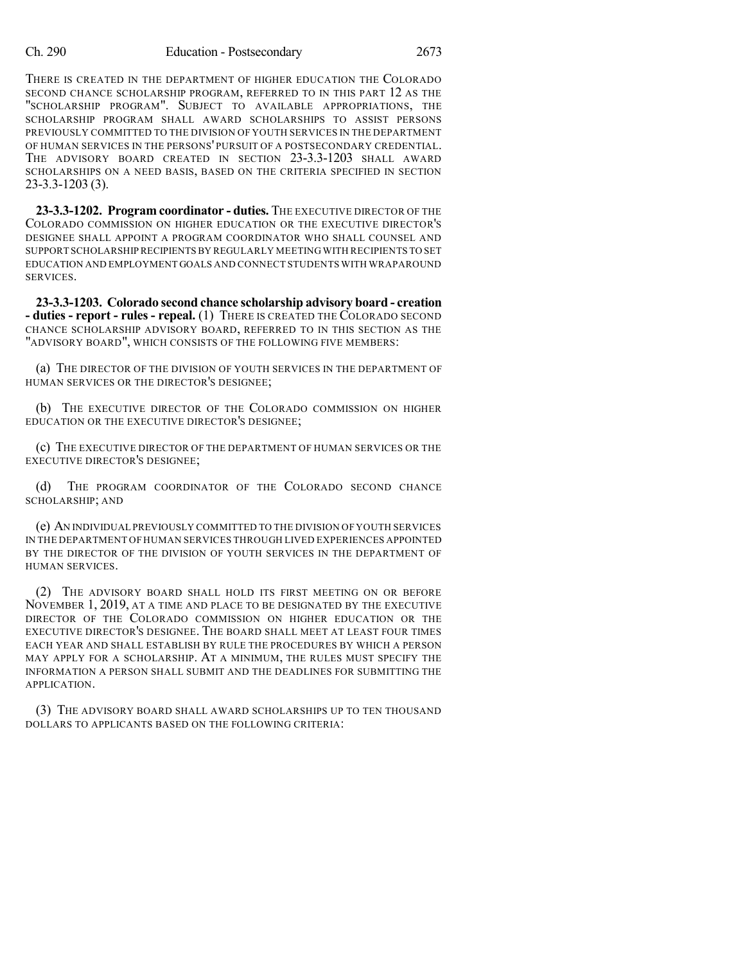THERE IS CREATED IN THE DEPARTMENT OF HIGHER EDUCATION THE COLORADO SECOND CHANCE SCHOLARSHIP PROGRAM, REFERRED TO IN THIS PART 12 AS THE "SCHOLARSHIP PROGRAM". SUBJECT TO AVAILABLE APPROPRIATIONS, THE SCHOLARSHIP PROGRAM SHALL AWARD SCHOLARSHIPS TO ASSIST PERSONS PREVIOUSLY COMMITTED TO THE DIVISION OF YOUTH SERVICES IN THE DEPARTMENT OF HUMAN SERVICES IN THE PERSONS' PURSUIT OF A POSTSECONDARY CREDENTIAL. THE ADVISORY BOARD CREATED IN SECTION 23-3.3-1203 SHALL AWARD SCHOLARSHIPS ON A NEED BASIS, BASED ON THE CRITERIA SPECIFIED IN SECTION 23-3.3-1203 (3).

**23-3.3-1202. Program coordinator - duties.** THE EXECUTIVE DIRECTOR OF THE COLORADO COMMISSION ON HIGHER EDUCATION OR THE EXECUTIVE DIRECTOR'S DESIGNEE SHALL APPOINT A PROGRAM COORDINATOR WHO SHALL COUNSEL AND SUPPORT SCHOLARSHIPRECIPIENTSBY REGULARLY MEETING WITH RECIPIENTS TO SET EDUCATION AND EMPLOYMENT GOALS AND CONNECT STUDENTS WITH WRAPAROUND SERVICES.

**23-3.3-1203. Colorado second chance scholarship advisory board - creation - duties - report - rules - repeal.** (1) THERE IS CREATED THE COLORADO SECOND CHANCE SCHOLARSHIP ADVISORY BOARD, REFERRED TO IN THIS SECTION AS THE "ADVISORY BOARD", WHICH CONSISTS OF THE FOLLOWING FIVE MEMBERS:

(a) THE DIRECTOR OF THE DIVISION OF YOUTH SERVICES IN THE DEPARTMENT OF HUMAN SERVICES OR THE DIRECTOR'S DESIGNEE;

(b) THE EXECUTIVE DIRECTOR OF THE COLORADO COMMISSION ON HIGHER EDUCATION OR THE EXECUTIVE DIRECTOR'S DESIGNEE;

(c) THE EXECUTIVE DIRECTOR OF THE DEPARTMENT OF HUMAN SERVICES OR THE EXECUTIVE DIRECTOR'S DESIGNEE;

(d) THE PROGRAM COORDINATOR OF THE COLORADO SECOND CHANCE SCHOLARSHIP; AND

(e) AN INDIVIDUAL PREVIOUSLY COMMITTED TO THE DIVISION OF YOUTH SERVICES IN THE DEPARTMENT OF HUMAN SERVICES THROUGH LIVED EXPERIENCES APPOINTED BY THE DIRECTOR OF THE DIVISION OF YOUTH SERVICES IN THE DEPARTMENT OF HUMAN SERVICES.

(2) THE ADVISORY BOARD SHALL HOLD ITS FIRST MEETING ON OR BEFORE NOVEMBER 1, 2019, AT A TIME AND PLACE TO BE DESIGNATED BY THE EXECUTIVE DIRECTOR OF THE COLORADO COMMISSION ON HIGHER EDUCATION OR THE EXECUTIVE DIRECTOR'S DESIGNEE. THE BOARD SHALL MEET AT LEAST FOUR TIMES EACH YEAR AND SHALL ESTABLISH BY RULE THE PROCEDURES BY WHICH A PERSON MAY APPLY FOR A SCHOLARSHIP. AT A MINIMUM, THE RULES MUST SPECIFY THE INFORMATION A PERSON SHALL SUBMIT AND THE DEADLINES FOR SUBMITTING THE APPLICATION.

(3) THE ADVISORY BOARD SHALL AWARD SCHOLARSHIPS UP TO TEN THOUSAND DOLLARS TO APPLICANTS BASED ON THE FOLLOWING CRITERIA: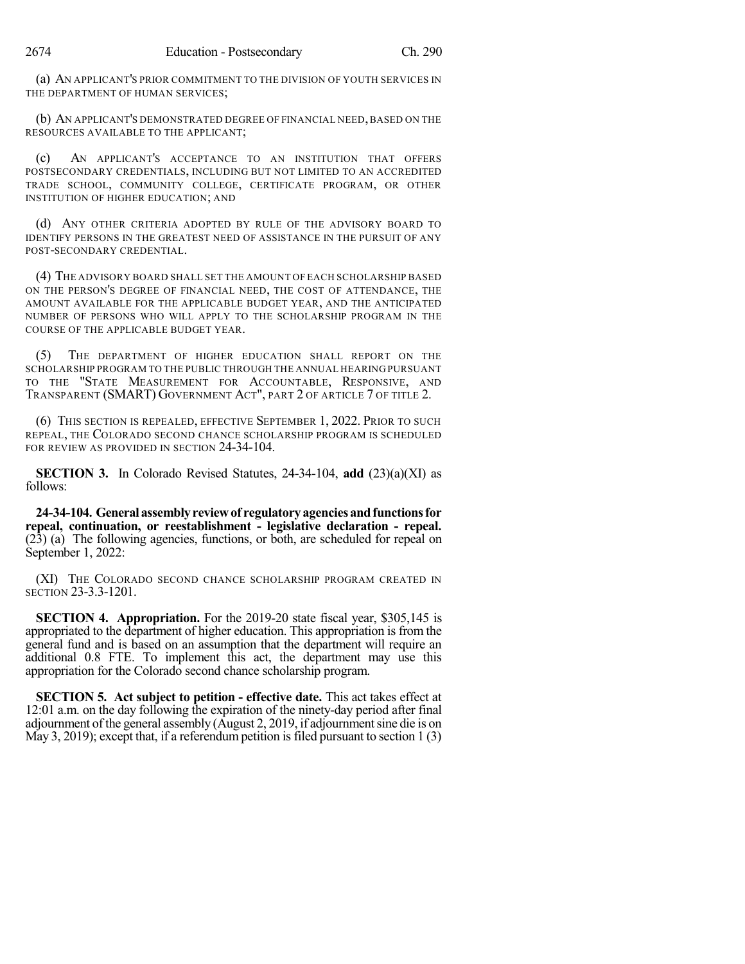(a) AN APPLICANT'S PRIOR COMMITMENT TO THE DIVISION OF YOUTH SERVICES IN THE DEPARTMENT OF HUMAN SERVICES;

(b) AN APPLICANT'S DEMONSTRATED DEGREE OF FINANCIAL NEED, BASED ON THE RESOURCES AVAILABLE TO THE APPLICANT;

(c) AN APPLICANT'S ACCEPTANCE TO AN INSTITUTION THAT OFFERS POSTSECONDARY CREDENTIALS, INCLUDING BUT NOT LIMITED TO AN ACCREDITED TRADE SCHOOL, COMMUNITY COLLEGE, CERTIFICATE PROGRAM, OR OTHER INSTITUTION OF HIGHER EDUCATION; AND

(d) ANY OTHER CRITERIA ADOPTED BY RULE OF THE ADVISORY BOARD TO IDENTIFY PERSONS IN THE GREATEST NEED OF ASSISTANCE IN THE PURSUIT OF ANY POST-SECONDARY CREDENTIAL.

(4) THE ADVISORY BOARD SHALL SET THE AMOUNT OF EACH SCHOLARSHIP BASED ON THE PERSON'S DEGREE OF FINANCIAL NEED, THE COST OF ATTENDANCE, THE AMOUNT AVAILABLE FOR THE APPLICABLE BUDGET YEAR, AND THE ANTICIPATED NUMBER OF PERSONS WHO WILL APPLY TO THE SCHOLARSHIP PROGRAM IN THE COURSE OF THE APPLICABLE BUDGET YEAR.

(5) THE DEPARTMENT OF HIGHER EDUCATION SHALL REPORT ON THE SCHOLARSHIP PROGRAM TO THE PUBLIC THROUGH THE ANNUAL HEARING PURSUANT TO THE "STATE MEASUREMENT FOR ACCOUNTABLE, RESPONSIVE, AND TRANSPARENT (SMART) GOVERNMENT ACT", PART 2 OF ARTICLE 7 OF TITLE 2.

(6) THIS SECTION IS REPEALED, EFFECTIVE SEPTEMBER 1, 2022. PRIOR TO SUCH REPEAL, THE COLORADO SECOND CHANCE SCHOLARSHIP PROGRAM IS SCHEDULED FOR REVIEW AS PROVIDED IN SECTION 24-34-104.

**SECTION 3.** In Colorado Revised Statutes, 24-34-104, **add** (23)(a)(XI) as follows:

**24-34-104. General assemblyreviewof regulatoryagenciesandfunctionsfor repeal, continuation, or reestablishment - legislative declaration - repeal.** (23) (a) The following agencies, functions, or both, are scheduled for repeal on September 1, 2022:

(XI) THE COLORADO SECOND CHANCE SCHOLARSHIP PROGRAM CREATED IN SECTION 23-3.3-1201.

**SECTION 4. Appropriation.** For the 2019-20 state fiscal year, \$305,145 is appropriated to the department of higher education. This appropriation is from the general fund and is based on an assumption that the department will require an additional 0.8 FTE. To implement this act, the department may use this appropriation for the Colorado second chance scholarship program.

**SECTION 5. Act subject to petition - effective date.** This act takes effect at 12:01 a.m. on the day following the expiration of the ninety-day period after final adjournment of the general assembly (August 2, 2019, if adjournment sine die is on May 3, 2019); except that, if a referendum petition is filed pursuant to section  $1(3)$